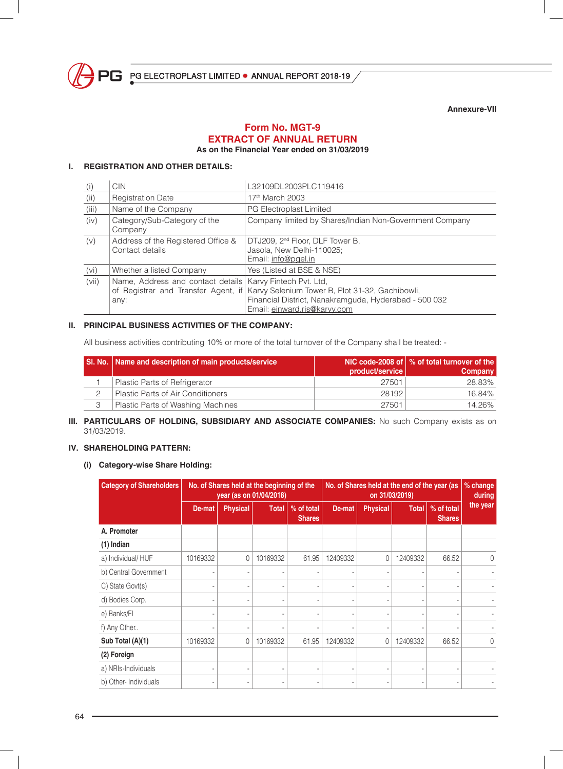

**Annexure-VII**

#### **Form No. MGT-9 EXTRACT OF ANNUAL RETURN As on the Financial Year ended on 31/03/2019**

## **I. REGISTRATION AND OTHER DETAILS:**

| (i)   | <b>CIN</b>                                                                       | L32109DL2003PLC119416                                                                                                                                               |
|-------|----------------------------------------------------------------------------------|---------------------------------------------------------------------------------------------------------------------------------------------------------------------|
| (ii)  | <b>Registration Date</b>                                                         | 17th March 2003                                                                                                                                                     |
| (iii) | Name of the Company                                                              | PG Electroplast Limited                                                                                                                                             |
| (iv)  | Category/Sub-Category of the<br>Company                                          | Company limited by Shares/Indian Non-Government Company                                                                                                             |
| (v)   | Address of the Registered Office &<br>Contact details                            | DTJ209, 2 <sup>nd</sup> Floor, DLF Tower B,<br>Jasola, New Delhi-110025;<br>Email: info@pgel.in                                                                     |
| (vi)  | Whether a listed Company                                                         | Yes (Listed at BSE & NSE)                                                                                                                                           |
| (vii) | Name, Address and contact details<br>of Registrar and Transfer Agent, if<br>any: | Karvy Fintech Pvt. Ltd,<br>Karvy Selenium Tower B, Plot 31-32, Gachibowli,<br>Financial District, Nanakramguda, Hyderabad - 500 032<br>Email: einward.ris@karvy.com |

#### **II. PRINCIPAL BUSINESS ACTIVITIES OF THE COMPANY:**

All business activities contributing 10% or more of the total turnover of the Company shall be treated: -

|   | SI. No.   Name and description of main products/service | product/service | NIC code-2008 of $\vert \%$ of total turnover of the<br>Company |
|---|---------------------------------------------------------|-----------------|-----------------------------------------------------------------|
|   | Plastic Parts of Refrigerator                           | 27501           | 28.83%                                                          |
|   | Plastic Parts of Air Conditioners                       | 28192           | 16.84%                                                          |
| 3 | Plastic Parts of Washing Machines                       | 27501           | 14.26%                                                          |

#### **III. PARTICULARS OF HOLDING, SUBSIDIARY AND ASSOCIATE COMPANIES:** No such Company exists as on 31/03/2019.

#### **IV. SHAREHOLDING PATTERN:**

#### **(i) Category-wise Share Holding:**

| <b>Category of Shareholders</b><br>No. of Shares held at the beginning of the<br>year (as on 01/04/2018) |          |                          |              |                             | No. of Shares held at the end of the year (as<br>on 31/03/2019) |                 |              |                             | % change<br>during |
|----------------------------------------------------------------------------------------------------------|----------|--------------------------|--------------|-----------------------------|-----------------------------------------------------------------|-----------------|--------------|-----------------------------|--------------------|
|                                                                                                          | De-mat   | <b>Physical</b>          | <b>Total</b> | % of total<br><b>Shares</b> | De-mat                                                          | <b>Physical</b> | <b>Total</b> | % of total<br><b>Shares</b> | the year           |
| A. Promoter                                                                                              |          |                          |              |                             |                                                                 |                 |              |                             |                    |
| $(1)$ Indian                                                                                             |          |                          |              |                             |                                                                 |                 |              |                             |                    |
| a) Individual/HUF                                                                                        | 10169332 | 0                        | 10169332     | 61.95                       | 12409332                                                        | $\Omega$        | 12409332     | 66.52                       | $\theta$           |
| b) Central Government                                                                                    |          |                          |              |                             |                                                                 |                 |              |                             |                    |
| C) State Govt(s)                                                                                         |          | ٠                        |              | ۰                           | ٠                                                               | ٠               |              | ٠                           |                    |
| d) Bodies Corp.                                                                                          |          | ٠                        |              |                             |                                                                 | ٠               |              |                             |                    |
| e) Banks/Fl                                                                                              |          | $\overline{\phantom{a}}$ |              |                             |                                                                 | ٠               |              |                             |                    |
| f) Any Other                                                                                             |          | ٠                        |              |                             |                                                                 | ٠               |              |                             |                    |
| Sub Total (A)(1)                                                                                         | 10169332 | 0                        | 10169332     | 61.95                       | 12409332                                                        | 0               | 12409332     | 66.52                       | $\Omega$           |
| (2) Foreign                                                                                              |          |                          |              |                             |                                                                 |                 |              |                             |                    |
| a) NRIs-Individuals                                                                                      |          | ٠                        |              | ٠                           |                                                                 | ٠               |              | ۰                           |                    |
| b) Other-Individuals                                                                                     |          |                          |              |                             |                                                                 | ٠               |              |                             |                    |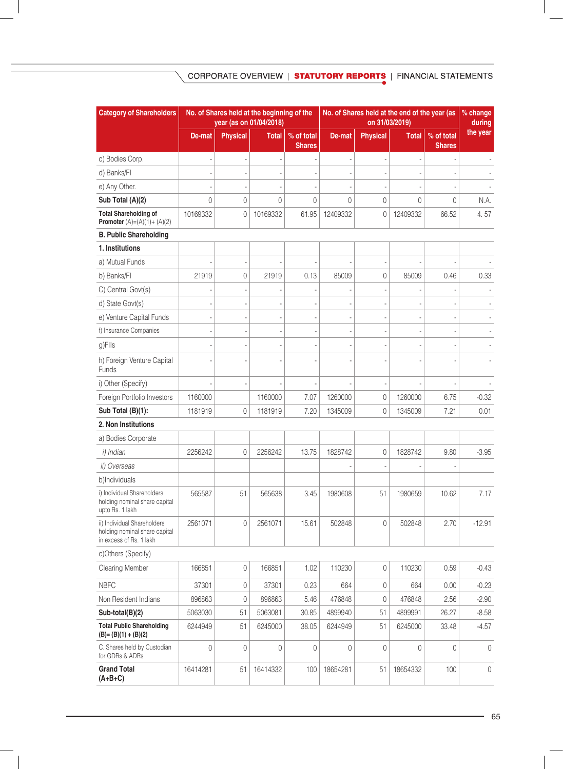# CORPORATE OVERVIEW | STATUTORY REPORTS | FINANCIAL STATEMENTS

| <b>Category of Shareholders</b>                                                         |                |                     | No. of Shares held at the beginning of the<br>year (as on 01/04/2018) |                             | No. of Shares held at the end of the year (as<br>on 31/03/2019) |                          |              |                             | % change<br>during |
|-----------------------------------------------------------------------------------------|----------------|---------------------|-----------------------------------------------------------------------|-----------------------------|-----------------------------------------------------------------|--------------------------|--------------|-----------------------------|--------------------|
|                                                                                         | De-mat         | <b>Physical</b>     | <b>Total</b>                                                          | % of total<br><b>Shares</b> | De-mat                                                          | <b>Physical</b>          | <b>Total</b> | % of total<br><b>Shares</b> | the year           |
| c) Bodies Corp.                                                                         |                |                     |                                                                       |                             |                                                                 | ÷,                       |              |                             |                    |
| d) Banks/FI                                                                             |                |                     |                                                                       |                             |                                                                 |                          |              |                             |                    |
| e) Any Other.                                                                           |                |                     |                                                                       |                             |                                                                 |                          |              |                             |                    |
| Sub Total (A)(2)                                                                        | $\overline{0}$ | 0                   | $\mathbf 0$                                                           | 0                           | 0                                                               | $\mathbf 0$              | 0            | 0                           | N.A.               |
| <b>Total Shareholding of</b><br><b>Promoter</b> $(A)=(A)(1)+(A)(2)$                     | 10169332       | 0                   | 10169332                                                              | 61.95                       | 12409332                                                        | $\mathbf 0$              | 12409332     | 66.52                       | 4.57               |
| <b>B. Public Shareholding</b>                                                           |                |                     |                                                                       |                             |                                                                 |                          |              |                             |                    |
| 1. Institutions                                                                         |                |                     |                                                                       |                             |                                                                 |                          |              |                             |                    |
| a) Mutual Funds                                                                         |                |                     |                                                                       |                             |                                                                 |                          |              |                             |                    |
| b) Banks/Fl                                                                             | 21919          | 0                   | 21919                                                                 | 0.13                        | 85009                                                           | $\mathbf 0$              | 85009        | 0.46                        | 0.33               |
| C) Central Govt(s)                                                                      |                |                     |                                                                       |                             |                                                                 |                          |              |                             |                    |
| d) State Govt(s)                                                                        |                |                     |                                                                       |                             |                                                                 |                          |              |                             |                    |
| e) Venture Capital Funds                                                                |                | ٠                   | ÷,                                                                    |                             |                                                                 | $\overline{\phantom{a}}$ |              |                             |                    |
| f) Insurance Companies                                                                  |                |                     |                                                                       |                             |                                                                 |                          |              |                             |                    |
| g)Flls                                                                                  |                |                     |                                                                       |                             |                                                                 |                          |              |                             |                    |
| h) Foreign Venture Capital<br>Funds                                                     |                |                     |                                                                       |                             |                                                                 |                          |              |                             |                    |
| i) Other (Specify)                                                                      |                |                     |                                                                       |                             |                                                                 |                          |              |                             |                    |
| Foreign Portfolio Investors                                                             | 1160000        |                     | 1160000                                                               | 7.07                        | 1260000                                                         | $\mathbf 0$              | 1260000      | 6.75                        | $-0.32$            |
| Sub Total (B)(1):                                                                       | 1181919        | 0                   | 1181919                                                               | 7.20                        | 1345009                                                         | $\mathbf 0$              | 1345009      | 7.21                        | 0.01               |
| 2. Non Institutions                                                                     |                |                     |                                                                       |                             |                                                                 |                          |              |                             |                    |
| a) Bodies Corporate                                                                     |                |                     |                                                                       |                             |                                                                 |                          |              |                             |                    |
| i) Indian                                                                               | 2256242        | 0                   | 2256242                                                               | 13.75                       | 1828742                                                         | $\mathbf 0$              | 1828742      | 9.80                        | $-3.95$            |
| ii) Overseas                                                                            |                |                     |                                                                       |                             |                                                                 |                          |              |                             |                    |
| b)Individuals                                                                           |                |                     |                                                                       |                             |                                                                 |                          |              |                             |                    |
| i) Individual Shareholders<br>holding nominal share capital<br>upto Rs. 1 lakh          | 565587         | 51                  | 565638                                                                | 3.45                        | 1980608                                                         | 51                       | 1980659      | 10.62                       | 7.17               |
| ii) Individual Shareholders<br>holding nominal share capital<br>in excess of Rs. 1 lakh | 2561071        | 0                   | 2561071                                                               | 15.61                       | 502848                                                          | $\mathbb O$              | 502848       | 2.70                        | $-12.91$           |
| c)Others (Specify)                                                                      |                |                     |                                                                       |                             |                                                                 |                          |              |                             |                    |
| <b>Clearing Member</b>                                                                  | 166851         | $\mathsf{O}\xspace$ | 166851                                                                | 1.02                        | 110230                                                          | $\mathbf 0$              | 110230       | 0.59                        | $-0.43$            |
| <b>NBFC</b>                                                                             | 37301          | $\mathsf{O}\xspace$ | 37301                                                                 | 0.23                        | 664                                                             | $\mathbf 0$              | 664          | 0.00                        | $-0.23$            |
| Non Resident Indians                                                                    | 896863         | 0                   | 896863                                                                | 5.46                        | 476848                                                          | $\mathbf 0$              | 476848       | 2.56                        | $-2.90$            |
| Sub-total(B)(2)                                                                         | 5063030        | 51                  | 5063081                                                               | 30.85                       | 4899940                                                         | 51                       | 4899991      | 26.27                       | $-8.58$            |
| <b>Total Public Shareholding</b><br>$(B)=(B)(1)+(B)(2)$                                 | 6244949        | 51                  | 6245000                                                               | 38.05                       | 6244949                                                         | 51                       | 6245000      | 33.48                       | $-4.57$            |
| C. Shares held by Custodian<br>for GDRs & ADRs                                          | $\overline{0}$ | 0                   | 0                                                                     | 0                           | $\overline{0}$                                                  | $\mathbf 0$              | 0            | 0                           | $\overline{0}$     |
| <b>Grand Total</b><br>$(A+B+C)$                                                         | 16414281       | 51                  | 16414332                                                              | 100                         | 18654281                                                        | 51                       | 18654332     | 100                         | $\overline{0}$     |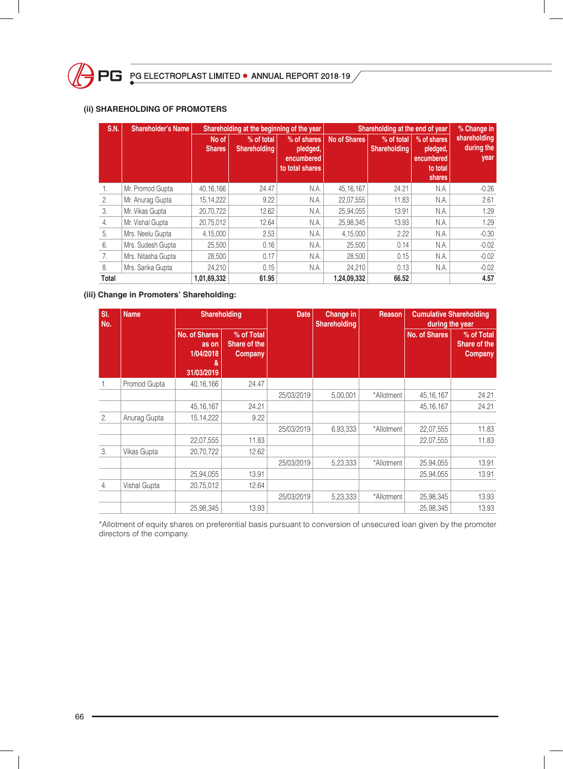

#### **(ii) SHAREHOLDING OF PROMOTERS**

| S.N.             | Shareholder's Name | Shareholding at the beginning of the year<br>Shareholding at the end of year |                                   |                                                          |                     | % Change in                       |                                                             |                                    |
|------------------|--------------------|------------------------------------------------------------------------------|-----------------------------------|----------------------------------------------------------|---------------------|-----------------------------------|-------------------------------------------------------------|------------------------------------|
|                  |                    | No of<br>Shares,                                                             | % of total<br><b>Shareholding</b> | % of shares<br>pledged,<br>encumbered<br>to total shares | <b>No of Shares</b> | % of total<br><b>Shareholding</b> | % of shares<br>pledged,<br>encumbered<br>to total<br>shares | shareholding<br>during the<br>year |
| 1.               | Mr. Promod Gupta   | 40, 16, 166                                                                  | 24.47                             | N.A.                                                     | 45, 16, 167         | 24.21                             | N.A.                                                        | $-0.26$                            |
| $\overline{2}$ . | Mr. Anurag Gupta   | 15, 14, 222                                                                  | 9.22                              | N.A.                                                     | 22,07,555           | 11.83                             | N.A.                                                        | 2.61                               |
| 3.               | Mr. Vikas Gupta    | 20,70,722                                                                    | 12.62                             | N.A.                                                     | 25,94,055           | 13.91                             | N.A.                                                        | 1.29                               |
| 4.               | Mr. Vishal Gupta   | 20.75.012                                                                    | 12.64                             | N.A.                                                     | 25.98.345           | 13.93                             | N.A.                                                        | 1.29                               |
| 5.               | Mrs. Neelu Gupta   | 4,15,000                                                                     | 2.53                              | N.A.                                                     | 4,15,000            | 2.22                              | N.A.                                                        | $-0.30$                            |
| 6.               | Mrs. Sudesh Gupta  | 25,500                                                                       | 0.16                              | N.A.                                                     | 25,500              | 0.14                              | N.A.                                                        | $-0.02$                            |
| 7.               | Mrs. Nitasha Gupta | 28,500                                                                       | 0.17                              | N.A.                                                     | 28,500              | 0.15                              | N.A.                                                        | $-0.02$                            |
| 8.               | Mrs. Sarika Gupta  | 24,210                                                                       | 0.15                              | N.A.                                                     | 24,210              | 0.13                              | N.A.                                                        | $-0.02$                            |
| <b>Total</b>     |                    | 1,01,69,332                                                                  | 61.95                             |                                                          | 1,24,09,332         | 66.52                             |                                                             | 4.57                               |

#### **(iii) Change in Promoters' Shareholding:**

| SI.<br>No. | <b>Name</b>  | <b>Shareholding</b>                                    |                                       | <b>Date</b> | <b>Change in</b><br><b>Shareholding</b> | <b>Reason</b> | <b>Cumulative Shareholding</b> | during the year                              |
|------------|--------------|--------------------------------------------------------|---------------------------------------|-------------|-----------------------------------------|---------------|--------------------------------|----------------------------------------------|
|            |              | No. of Shares<br>as on<br>1/04/2018<br>&<br>31/03/2019 | % of Total<br>Share of the<br>Company |             |                                         |               | <b>No. of Shares</b>           | % of Total<br>Share of the<br><b>Company</b> |
| 1.         | Promod Gupta | 40, 16, 166                                            | 24.47                                 |             |                                         |               |                                |                                              |
|            |              |                                                        |                                       | 25/03/2019  | 5,00,001                                | *Allotment    | 45, 16, 167                    | 24.21                                        |
|            |              | 45, 16, 167                                            | 24.21                                 |             |                                         |               | 45, 16, 167                    | 24.21                                        |
| 2.         | Anurag Gupta | 15, 14, 222                                            | 9.22                                  |             |                                         |               |                                |                                              |
|            |              |                                                        |                                       | 25/03/2019  | 6,93,333                                | *Allotment    | 22,07,555                      | 11.83                                        |
|            |              | 22,07,555                                              | 11.83                                 |             |                                         |               | 22,07,555                      | 11.83                                        |
| 3.         | Vikas Gupta  | 20,70,722                                              | 12.62                                 |             |                                         |               |                                |                                              |
|            |              |                                                        |                                       | 25/03/2019  | 5,23,333                                | *Allotment    | 25,94,055                      | 13.91                                        |
|            |              | 25,94,055                                              | 13.91                                 |             |                                         |               | 25,94,055                      | 13.91                                        |
| 4.         | Vishal Gupta | 20,75,012                                              | 12.64                                 |             |                                         |               |                                |                                              |
|            |              |                                                        |                                       | 25/03/2019  | 5,23,333                                | *Allotment    | 25,98,345                      | 13.93                                        |
|            |              | 25,98,345                                              | 13.93                                 |             |                                         |               | 25,98,345                      | 13.93                                        |

\*Allotment of equity shares on preferential basis pursuant to conversion of unsecured loan given by the promoter directors of the company.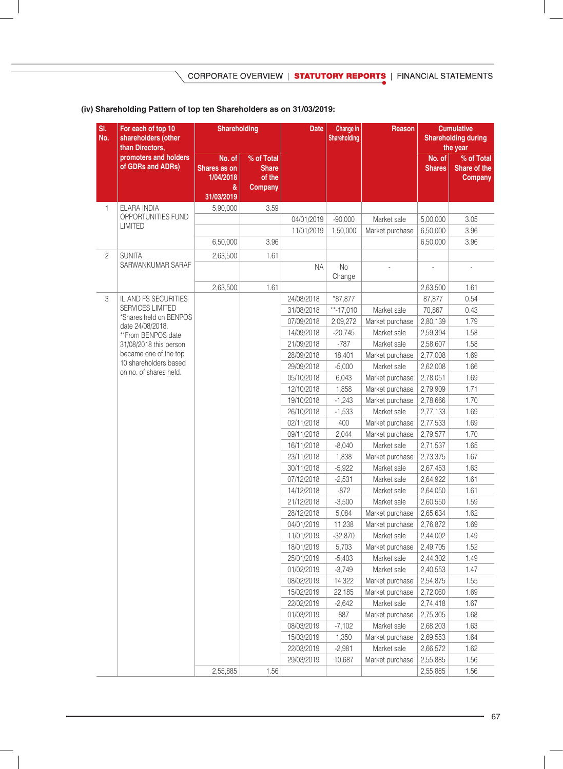# **(iv) Shareholding Pattern of top ten Shareholders as on 31/03/2019:**

| SI.<br>For each of top 10<br>No.<br>shareholders (other<br>than Directors, |                                                 | <b>Shareholding</b>                                    |                                                        | <b>Date</b>              | Change in<br>Shareholding | Reason                         |                         | <b>Cumulative</b><br><b>Shareholding during</b><br>the year |
|----------------------------------------------------------------------------|-------------------------------------------------|--------------------------------------------------------|--------------------------------------------------------|--------------------------|---------------------------|--------------------------------|-------------------------|-------------------------------------------------------------|
|                                                                            | promoters and holders<br>of GDRs and ADRs)      | No. of<br>Shares as on<br>1/04/2018<br>&<br>31/03/2019 | % of Total<br><b>Share</b><br>of the<br><b>Company</b> |                          |                           |                                | No. of<br><b>Shares</b> | % of Total<br>Share of the<br><b>Company</b>                |
| 1                                                                          | ELARA INDIA                                     | 5,90,000                                               | 3.59                                                   |                          |                           |                                |                         |                                                             |
|                                                                            | OPPORTUNITIES FUND                              |                                                        |                                                        | 04/01/2019               | $-90,000$                 | Market sale                    | 5,00,000                | 3.05                                                        |
|                                                                            | <b>LIMITED</b>                                  |                                                        |                                                        | 11/01/2019               | 1,50,000                  | Market purchase                | 6,50,000                | 3.96                                                        |
|                                                                            |                                                 | 6,50,000                                               | 3.96                                                   |                          |                           |                                | 6,50,000                | 3.96                                                        |
| $\overline{c}$                                                             | <b>SUNITA</b>                                   | 2,63,500                                               | 1.61                                                   |                          |                           |                                |                         |                                                             |
|                                                                            | SARWANKUMAR SARAF                               |                                                        |                                                        | <b>NA</b>                | No<br>Change              |                                |                         |                                                             |
|                                                                            |                                                 | 2,63,500                                               | 1.61                                                   |                          |                           |                                | 2,63,500                | 1.61                                                        |
| 3                                                                          | IL AND FS SECURITIES                            |                                                        |                                                        | 24/08/2018               | *87,877                   |                                | 87,877                  | 0.54                                                        |
|                                                                            | SERVICES LIMITED                                |                                                        |                                                        | 31/08/2018               | $**-17,010$               | Market sale                    | 70,867                  | 0.43                                                        |
|                                                                            | *Shares held on BENPOS<br>date 24/08/2018.      |                                                        |                                                        | 07/09/2018               | 2,09,272                  | Market purchase                | 2,80,139                | 1.79                                                        |
|                                                                            | **From BENPOS date                              |                                                        |                                                        | 14/09/2018               | $-20,745$                 | Market sale                    | 2,59,394                | 1.58                                                        |
|                                                                            | 31/08/2018 this person                          |                                                        |                                                        | 21/09/2018               | $-787$                    | Market sale                    | 2,58,607                | 1.58                                                        |
|                                                                            | became one of the top                           |                                                        |                                                        | 28/09/2018               | 18,401                    | Market purchase                | 2,77,008                | 1.69                                                        |
|                                                                            | 10 shareholders based<br>on no. of shares held. |                                                        |                                                        | 29/09/2018               | $-5,000$                  | Market sale                    | 2,62,008                | 1.66                                                        |
|                                                                            |                                                 |                                                        |                                                        | 05/10/2018               | 6,043                     | Market purchase                | 2,78,051                | 1.69                                                        |
|                                                                            |                                                 |                                                        |                                                        | 12/10/2018               | 1,858                     | Market purchase                | 2,79,909                | 1.71                                                        |
|                                                                            |                                                 |                                                        |                                                        | 19/10/2018               | $-1,243$                  | Market purchase                | 2,78,666                | 1.70                                                        |
|                                                                            |                                                 |                                                        |                                                        | 26/10/2018               | $-1,533$                  | Market sale                    | 2,77,133                | 1.69                                                        |
|                                                                            |                                                 |                                                        |                                                        | 02/11/2018               | 400                       | Market purchase                | 2,77,533                | 1.69                                                        |
|                                                                            |                                                 |                                                        |                                                        | 09/11/2018               | 2,044                     | Market purchase                | 2,79,577                | 1.70                                                        |
|                                                                            |                                                 |                                                        |                                                        | 16/11/2018               | $-8,040$                  | Market sale                    | 2,71,537                | 1.65                                                        |
|                                                                            |                                                 |                                                        |                                                        | 23/11/2018               | 1,838                     | Market purchase                | 2,73,375                | 1.67                                                        |
|                                                                            |                                                 |                                                        |                                                        | 30/11/2018               | $-5,922$                  | Market sale                    | 2,67,453                | 1.63                                                        |
|                                                                            |                                                 |                                                        |                                                        | 07/12/2018               | $-2,531$                  | Market sale                    | 2,64,922                | 1.61                                                        |
|                                                                            |                                                 |                                                        |                                                        | 14/12/2018               | $-872$                    | Market sale                    | 2,64,050                | 1.61                                                        |
|                                                                            |                                                 |                                                        |                                                        | 21/12/2018               | $-3,500$                  | Market sale                    | 2,60,550                | 1.59                                                        |
|                                                                            |                                                 |                                                        |                                                        | 28/12/2018               | 5,084                     | Market purchase                | 2,65,634                | 1.62                                                        |
|                                                                            |                                                 |                                                        |                                                        | 04/01/2019               | 11,238                    | Market purchase                | 2,76,872                | 1.69                                                        |
|                                                                            |                                                 |                                                        |                                                        | 11/01/2019<br>18/01/2019 | $-32,870$<br>5,703        | Market sale<br>Market purchase | 2,44,002<br>2,49,705    | 1.49<br>1.52                                                |
|                                                                            |                                                 |                                                        |                                                        | 25/01/2019               | $-5,403$                  | Market sale                    | 2,44,302                | 1.49                                                        |
|                                                                            |                                                 |                                                        |                                                        | 01/02/2019               | $-3,749$                  | Market sale                    | 2,40,553                | 1.47                                                        |
|                                                                            |                                                 |                                                        |                                                        | 08/02/2019               | 14,322                    | Market purchase                | 2,54,875                | 1.55                                                        |
|                                                                            |                                                 |                                                        |                                                        | 15/02/2019               | 22,185                    | Market purchase                | 2,72,060                | 1.69                                                        |
|                                                                            |                                                 |                                                        |                                                        | 22/02/2019               | $-2,642$                  | Market sale                    | 2,74,418                | 1.67                                                        |
|                                                                            |                                                 |                                                        |                                                        | 01/03/2019               | 887                       | Market purchase                | 2,75,305                | 1.68                                                        |
|                                                                            |                                                 |                                                        |                                                        | 08/03/2019               | $-7,102$                  | Market sale                    | 2,68,203                | 1.63                                                        |
|                                                                            |                                                 |                                                        |                                                        | 15/03/2019               | 1,350                     | Market purchase                | 2,69,553                | 1.64                                                        |
|                                                                            |                                                 |                                                        |                                                        | 22/03/2019               | $-2,981$                  | Market sale                    | 2,66,572                | 1.62                                                        |
|                                                                            |                                                 |                                                        |                                                        | 29/03/2019               | 10,687                    | Market purchase                | 2,55,885                | 1.56                                                        |
|                                                                            |                                                 | 2,55,885                                               | 1.56                                                   |                          |                           |                                | 2,55,885                | 1.56                                                        |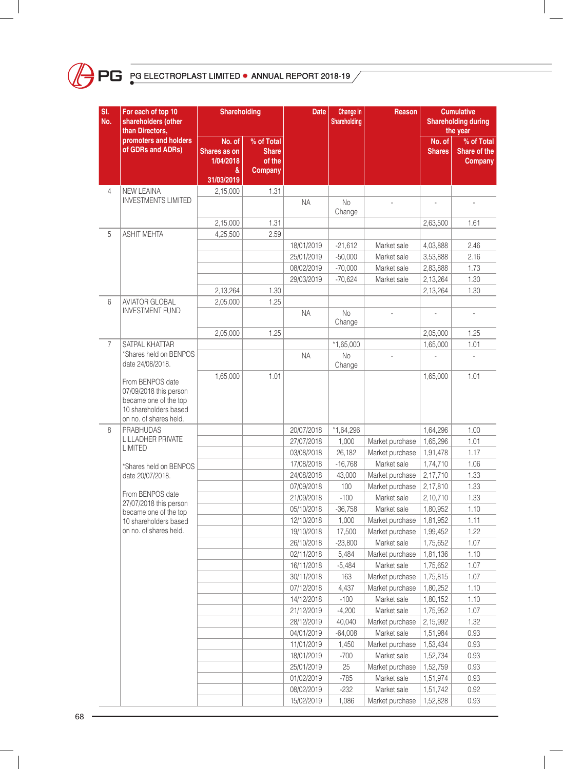

| SI.<br>No.     | For each of top 10<br>shareholders (other<br>than Directors,                                                           | Shareholding                                           |                                                 | <b>Date</b>              | Change in<br>Shareholding | Reason                         |                         | <b>Cumulative</b><br><b>Shareholding during</b><br>the year |
|----------------|------------------------------------------------------------------------------------------------------------------------|--------------------------------------------------------|-------------------------------------------------|--------------------------|---------------------------|--------------------------------|-------------------------|-------------------------------------------------------------|
|                | promoters and holders<br>of GDRs and ADRs)                                                                             | No. of<br>Shares as on<br>1/04/2018<br>&<br>31/03/2019 | % of Total<br><b>Share</b><br>of the<br>Company |                          |                           |                                | No. of<br><b>Shares</b> | % of Total<br>Share of the<br>Company                       |
| 4              | <b>NEW LEAINA</b>                                                                                                      | 2,15,000                                               | 1.31                                            |                          |                           |                                |                         |                                                             |
|                | <b>INVESTMENTS LIMITED</b>                                                                                             |                                                        |                                                 | <b>NA</b>                | <b>No</b><br>Change       |                                |                         |                                                             |
|                |                                                                                                                        | 2,15,000                                               | 1.31                                            |                          |                           |                                | 2,63,500                | 1.61                                                        |
| 5              | <b>ASHIT MEHTA</b>                                                                                                     | 4,25,500                                               | 2.59                                            |                          |                           |                                |                         |                                                             |
|                |                                                                                                                        |                                                        |                                                 | 18/01/2019               | $-21,612$                 | Market sale                    | 4,03,888                | 2.46                                                        |
|                |                                                                                                                        |                                                        |                                                 | 25/01/2019               | $-50,000$                 | Market sale                    | 3,53,888                | 2.16                                                        |
|                |                                                                                                                        |                                                        |                                                 | 08/02/2019               | $-70,000$                 | Market sale                    | 2,83,888                | 1.73                                                        |
|                |                                                                                                                        |                                                        |                                                 | 29/03/2019               | $-70,624$                 | Market sale                    | 2,13,264                | 1.30                                                        |
|                |                                                                                                                        | 2,13,264                                               | 1.30                                            |                          |                           |                                | 2,13,264                | 1.30                                                        |
| 6              | <b>AVIATOR GLOBAL</b><br><b>INVESTMENT FUND</b>                                                                        | 2,05,000                                               | 1.25                                            | <b>NA</b>                | No<br>Change              |                                |                         |                                                             |
|                |                                                                                                                        | 2,05,000                                               | 1.25                                            |                          |                           |                                | 2,05,000                | 1.25                                                        |
| $\overline{7}$ | SATPAL KHATTAR                                                                                                         |                                                        |                                                 |                          | $*1,65,000$               |                                | 1,65,000                | 1.01                                                        |
|                | *Shares held on BENPOS<br>date 24/08/2018.                                                                             |                                                        |                                                 | <b>NA</b>                | No<br>Change              |                                |                         |                                                             |
|                | From BENPOS date<br>07/09/2018 this person<br>became one of the top<br>10 shareholders based<br>on no. of shares held. | 1,65,000                                               | 1.01                                            |                          |                           |                                | 1,65,000                | 1.01                                                        |
| 8              | <b>PRABHUDAS</b>                                                                                                       |                                                        |                                                 | 20/07/2018               | $*1,64,296$               |                                | 1,64,296                | 1.00                                                        |
|                | <b>LILLADHER PRIVATE</b><br><b>LIMITED</b>                                                                             |                                                        |                                                 | 27/07/2018               | 1,000                     | Market purchase                | 1,65,296                | 1.01                                                        |
|                |                                                                                                                        |                                                        |                                                 | 03/08/2018               | 26,182                    | Market purchase                | 1,91,478                | 1.17                                                        |
|                | *Shares held on BENPOS                                                                                                 |                                                        |                                                 | 17/08/2018               | $-16,768$                 | Market sale                    | 1,74,710                | 1.06                                                        |
|                | date 20/07/2018.                                                                                                       |                                                        |                                                 | 24/08/2018               | 43,000                    | Market purchase                | 2,17,710                | 1.33                                                        |
|                | From BENPOS date                                                                                                       |                                                        |                                                 | 07/09/2018               | 100                       | Market purchase                | 2,17,810                | 1.33                                                        |
|                | 27/07/2018 this person                                                                                                 |                                                        |                                                 | 21/09/2018               | $-100$                    | Market sale                    | 2,10,710                | 1.33                                                        |
|                | became one of the top                                                                                                  |                                                        |                                                 | 05/10/2018               | $-36,758$                 | Market sale                    | 1,80,952                | 1.10                                                        |
|                | 10 shareholders based                                                                                                  |                                                        |                                                 | 12/10/2018               | 1,000                     | Market purchase                | 1,81,952                | 1.11                                                        |
|                | on no. of shares held.                                                                                                 |                                                        |                                                 | 19/10/2018               | 17,500                    | Market purchase                | 1,99,452                | 1.22                                                        |
|                |                                                                                                                        |                                                        |                                                 | 26/10/2018               | $-23,800$<br>5,484        | Market sale<br>Market purchase | 1,75,652                | 1.07<br>1.10                                                |
|                |                                                                                                                        |                                                        |                                                 | 02/11/2018               |                           |                                | 1,81,136                |                                                             |
|                |                                                                                                                        |                                                        |                                                 | 16/11/2018               | $-5,484$<br>163           | Market sale<br>Market purchase | 1,75,652                | 1.07<br>1.07                                                |
|                |                                                                                                                        |                                                        |                                                 | 30/11/2018               |                           |                                | 1,75,815                |                                                             |
|                |                                                                                                                        |                                                        |                                                 | 07/12/2018<br>14/12/2018 | 4,437<br>$-100$           | Market purchase<br>Market sale | 1,80,252<br>1,80,152    | 1.10<br>1.10                                                |
|                |                                                                                                                        |                                                        |                                                 | 21/12/2019               | $-4,200$                  | Market sale                    | 1,75,952                | 1.07                                                        |
|                |                                                                                                                        |                                                        |                                                 | 28/12/2019               | 40,040                    | Market purchase                | 2,15,992                | 1.32                                                        |
|                |                                                                                                                        |                                                        |                                                 | 04/01/2019               | $-64,008$                 | Market sale                    | 1,51,984                | 0.93                                                        |
|                |                                                                                                                        |                                                        |                                                 | 11/01/2019               | 1,450                     | Market purchase                | 1,53,434                | 0.93                                                        |
|                |                                                                                                                        |                                                        |                                                 | 18/01/2019               | $-700$                    | Market sale                    | 1,52,734                | 0.93                                                        |
|                |                                                                                                                        |                                                        |                                                 | 25/01/2019               | 25                        | Market purchase                | 1,52,759                | 0.93                                                        |
|                |                                                                                                                        |                                                        |                                                 | 01/02/2019               | $-785$                    | Market sale                    | 1,51,974                | 0.93                                                        |
|                |                                                                                                                        |                                                        |                                                 | 08/02/2019               | $-232$                    | Market sale                    | 1,51,742                | 0.92                                                        |
|                |                                                                                                                        |                                                        |                                                 | 15/02/2019               | 1,086                     | Market purchase                | 1,52,828                | 0.93                                                        |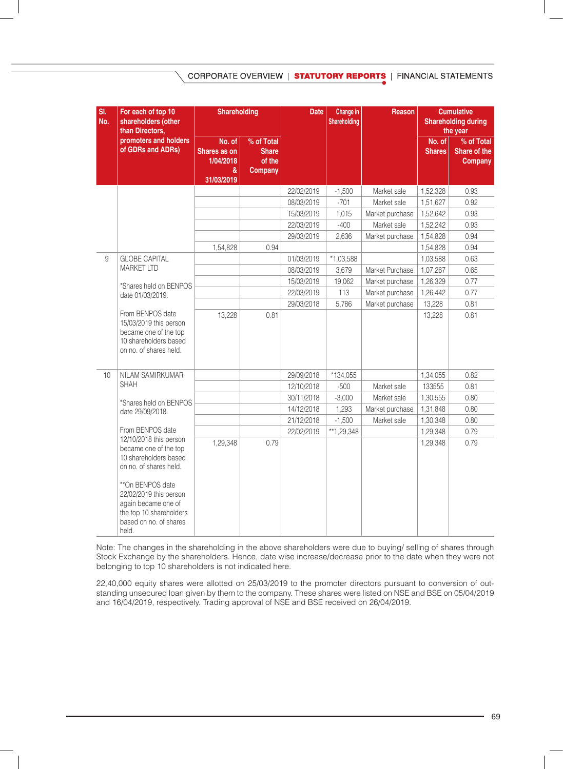CORPORATE OVERVIEW | STATUTORY REPORTS | FINANCIAL STATEMENTS

| SI.<br>No. | For each of top 10<br>shareholders (other<br>than Directors,                                                                                                                                                                          | <b>Shareholding</b>                                    |                                                        | <b>Date</b> | Change in<br>Shareholding | Reason          |                         | <b>Cumulative</b><br><b>Shareholding during</b><br>the year |
|------------|---------------------------------------------------------------------------------------------------------------------------------------------------------------------------------------------------------------------------------------|--------------------------------------------------------|--------------------------------------------------------|-------------|---------------------------|-----------------|-------------------------|-------------------------------------------------------------|
|            | promoters and holders<br>of GDRs and ADRs)                                                                                                                                                                                            | No. of<br>Shares as on<br>1/04/2018<br>&<br>31/03/2019 | % of Total<br><b>Share</b><br>of the<br><b>Company</b> |             |                           |                 | No. of<br><b>Shares</b> | % of Total<br>Share of the<br><b>Company</b>                |
|            |                                                                                                                                                                                                                                       |                                                        |                                                        | 22/02/2019  | $-1,500$                  | Market sale     | 1,52,328                | 0.93                                                        |
|            |                                                                                                                                                                                                                                       |                                                        |                                                        | 08/03/2019  | $-701$                    | Market sale     | 1,51,627                | 0.92                                                        |
|            |                                                                                                                                                                                                                                       |                                                        |                                                        | 15/03/2019  | 1,015                     | Market purchase | 1,52,642                | 0.93                                                        |
|            |                                                                                                                                                                                                                                       |                                                        |                                                        | 22/03/2019  | $-400$                    | Market sale     | 1,52,242                | 0.93                                                        |
|            |                                                                                                                                                                                                                                       |                                                        |                                                        | 29/03/2019  | 2,636                     | Market purchase | 1,54,828                | 0.94                                                        |
|            |                                                                                                                                                                                                                                       | 1,54,828                                               | 0.94                                                   |             |                           |                 | 1,54,828                | 0.94                                                        |
| 9          | <b>GLOBE CAPITAL</b>                                                                                                                                                                                                                  |                                                        |                                                        | 01/03/2019  | $*1,03,588$               |                 | 1,03,588                | 0.63                                                        |
|            | <b>MARKET LTD</b>                                                                                                                                                                                                                     |                                                        |                                                        | 08/03/2019  | 3,679                     | Market Purchase | 1,07,267                | 0.65                                                        |
|            | *Shares held on BENPOS                                                                                                                                                                                                                |                                                        |                                                        | 15/03/2019  | 19,062                    | Market purchase | 1,26,329                | 0.77                                                        |
|            | date 01/03/2019.                                                                                                                                                                                                                      |                                                        |                                                        | 22/03/2019  | 113                       | Market purchase | 1,26,442                | 0.77                                                        |
|            |                                                                                                                                                                                                                                       |                                                        |                                                        | 29/03/2018  | 5,786                     | Market purchase | 13,228                  | 0.81                                                        |
|            | From BENPOS date<br>15/03/2019 this person<br>became one of the top<br>10 shareholders based<br>on no. of shares held.                                                                                                                | 13,228                                                 | 0.81                                                   |             |                           |                 | 13,228                  | 0.81                                                        |
| 10         | NILAM SAMIRKUMAR                                                                                                                                                                                                                      |                                                        |                                                        | 29/09/2018  | *134,055                  |                 | 1,34,055                | 0.82                                                        |
|            | <b>SHAH</b>                                                                                                                                                                                                                           |                                                        |                                                        | 12/10/2018  | $-500$                    | Market sale     | 133555                  | 0.81                                                        |
|            | *Shares held on BENPOS                                                                                                                                                                                                                |                                                        |                                                        | 30/11/2018  | $-3,000$                  | Market sale     | 1,30,555                | 0.80                                                        |
|            | date 29/09/2018.                                                                                                                                                                                                                      |                                                        |                                                        | 14/12/2018  | 1,293                     | Market purchase | 1,31,848                | 0.80                                                        |
|            |                                                                                                                                                                                                                                       |                                                        |                                                        | 21/12/2018  | $-1,500$                  | Market sale     | 1,30,348                | 0.80                                                        |
|            | From BENPOS date                                                                                                                                                                                                                      |                                                        |                                                        | 22/02/2019  | **1,29,348                |                 | 1,29,348                | 0.79                                                        |
|            | 12/10/2018 this person<br>became one of the top<br>10 shareholders based<br>on no. of shares held.<br>**On BENPOS date<br>22/02/2019 this person<br>again became one of<br>the top 10 shareholders<br>based on no. of shares<br>held. | 1,29,348                                               | 0.79                                                   |             |                           |                 | 1,29,348                | 0.79                                                        |

Note: The changes in the shareholding in the above shareholders were due to buying/ selling of shares through Stock Exchange by the shareholders. Hence, date wise increase/decrease prior to the date when they were not belonging to top 10 shareholders is not indicated here.

22,40,000 equity shares were allotted on 25/03/2019 to the promoter directors pursuant to conversion of outstanding unsecured loan given by them to the company. These shares were listed on NSE and BSE on 05/04/2019 and 16/04/2019, respectively. Trading approval of NSE and BSE received on 26/04/2019.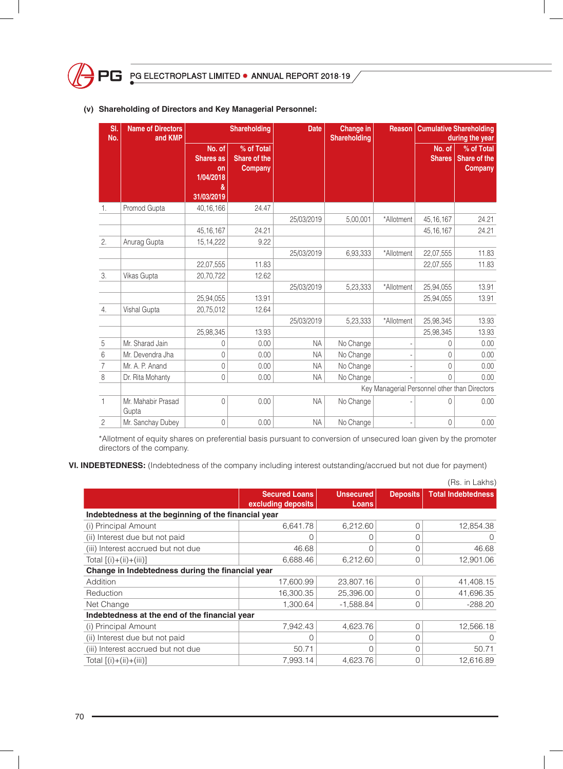

| SI.<br>No.     | <b>Name of Directors</b><br>and <b>KMP</b> |                                                                  | <b>Shareholding</b>                   | <b>Date</b>                                   | <b>Change in</b><br><b>Shareholding</b> | <b>Reason</b> | <b>Cumulative Shareholding</b><br>during the year |                                       |  |
|----------------|--------------------------------------------|------------------------------------------------------------------|---------------------------------------|-----------------------------------------------|-----------------------------------------|---------------|---------------------------------------------------|---------------------------------------|--|
|                |                                            | No. of<br><b>Shares as</b><br>on<br>1/04/2018<br>&<br>31/03/2019 | % of Total<br>Share of the<br>Company |                                               |                                         |               | No. of<br><b>Shares</b>                           | % of Total<br>Share of the<br>Company |  |
| 1.             | Promod Gupta                               | 40, 16, 166                                                      | 24.47                                 |                                               |                                         |               |                                                   |                                       |  |
|                |                                            |                                                                  |                                       | 25/03/2019                                    | 5,00,001                                | *Allotment    | 45, 16, 167                                       | 24.21                                 |  |
|                |                                            | 45, 16, 167                                                      | 24.21                                 |                                               |                                         |               | 45, 16, 167                                       | 24.21                                 |  |
| 2.             | Anurag Gupta                               | 15, 14, 222                                                      | 9.22                                  |                                               |                                         |               |                                                   |                                       |  |
|                |                                            |                                                                  |                                       | 25/03/2019                                    | 6,93,333                                | *Allotment    | 22,07,555                                         | 11.83                                 |  |
|                |                                            | 22,07,555                                                        | 11.83                                 |                                               |                                         |               | 22,07,555                                         | 11.83                                 |  |
| 3.             | Vikas Gupta                                | 20.70.722                                                        | 12.62                                 |                                               |                                         |               |                                                   |                                       |  |
|                |                                            |                                                                  |                                       | 25/03/2019                                    | 5,23,333                                | *Allotment    | 25,94,055                                         | 13.91                                 |  |
|                |                                            | 25,94,055                                                        | 13.91                                 |                                               |                                         |               | 25,94,055                                         | 13.91                                 |  |
| 4.             | Vishal Gupta                               | 20,75,012                                                        | 12.64                                 |                                               |                                         |               |                                                   |                                       |  |
|                |                                            |                                                                  |                                       | 25/03/2019                                    | 5,23,333                                | *Allotment    | 25,98,345                                         | 13.93                                 |  |
|                |                                            | 25,98,345                                                        | 13.93                                 |                                               |                                         |               | 25,98,345                                         | 13.93                                 |  |
| 5              | Mr. Sharad Jain                            | $\Omega$                                                         | 0.00                                  | <b>NA</b>                                     | No Change                               | ÷,            | 0                                                 | 0.00                                  |  |
| 6              | Mr. Devendra Jha                           | 0                                                                | 0.00                                  | <b>NA</b>                                     | No Change                               | ÷             | 0                                                 | 0.00                                  |  |
| $\overline{7}$ | Mr. A. P. Anand                            | 0                                                                | 0.00                                  | <b>NA</b>                                     | No Change                               |               | $\mathbf 0$                                       | 0.00                                  |  |
| $\,8\,$        | Dr. Rita Mohanty                           | 0                                                                | 0.00                                  | <b>NA</b>                                     | No Change                               |               | $\Omega$                                          | 0.00                                  |  |
|                |                                            |                                                                  |                                       | Key Managerial Personnel other than Directors |                                         |               |                                                   |                                       |  |
| 1              | Mr. Mahabir Prasad<br>Gupta                | $\Omega$                                                         | 0.00                                  | <b>NA</b>                                     | No Change                               |               | $\Omega$                                          | 0.00                                  |  |
| $\overline{c}$ | Mr. Sanchay Dubey                          | 0                                                                | 0.00                                  | <b>NA</b>                                     | No Change                               |               | 0                                                 | 0.00                                  |  |

## **(v) Shareholding of Directors and Key Managerial Personnel:**

\*Allotment of equity shares on preferential basis pursuant to conversion of unsecured loan given by the promoter directors of the company.

**Vi. INDEBTEDNESS:** (Indebtedness of the company including interest outstanding/accrued but not due for payment)

|                                                     |                                            |                           |                 | (Rs. in Lakhs)            |
|-----------------------------------------------------|--------------------------------------------|---------------------------|-----------------|---------------------------|
|                                                     | <b>Secured Loans</b><br>excluding deposits | <b>Unsecured</b><br>Loans | <b>Deposits</b> | <b>Total Indebtedness</b> |
| Indebtedness at the beginning of the financial year |                                            |                           |                 |                           |
| (i) Principal Amount                                | 6,641.78                                   | 6,212.60                  | $\Omega$        | 12,854.38                 |
| (ii) Interest due but not paid                      |                                            |                           | 0               | O                         |
| (iii) Interest accrued but not due                  | 46.68                                      | N                         | O               | 46.68                     |
| Total $[(i)+(ii)+(iii)]$                            | 6,688.46                                   | 6,212.60                  | $\Omega$        | 12,901.06                 |
| Change in Indebtedness during the financial year    |                                            |                           |                 |                           |
| Addition                                            | 17,600.99                                  | 23,807.16                 | $\Omega$        | 41,408.15                 |
| Reduction                                           | 16,300.35                                  | 25,396.00                 | $\Omega$        | 41,696.35                 |
| Net Change                                          | 1.300.64                                   | $-1,588.84$               | $\Omega$        | $-288.20$                 |
| Indebtedness at the end of the financial year       |                                            |                           |                 |                           |
| (i) Principal Amount                                | 7,942.43                                   | 4,623.76                  | $\Omega$        | 12,566.18                 |
| (ii) Interest due but not paid                      |                                            | O                         | $\Omega$        | $\Omega$                  |
| (iii) Interest accrued but not due                  | 50.71                                      | Ω                         | $\Omega$        | 50.71                     |
| Total $[(i)+(ii)+(iii)]$                            | 7,993.14                                   | 4.623.76                  | $\Omega$        | 12,616.89                 |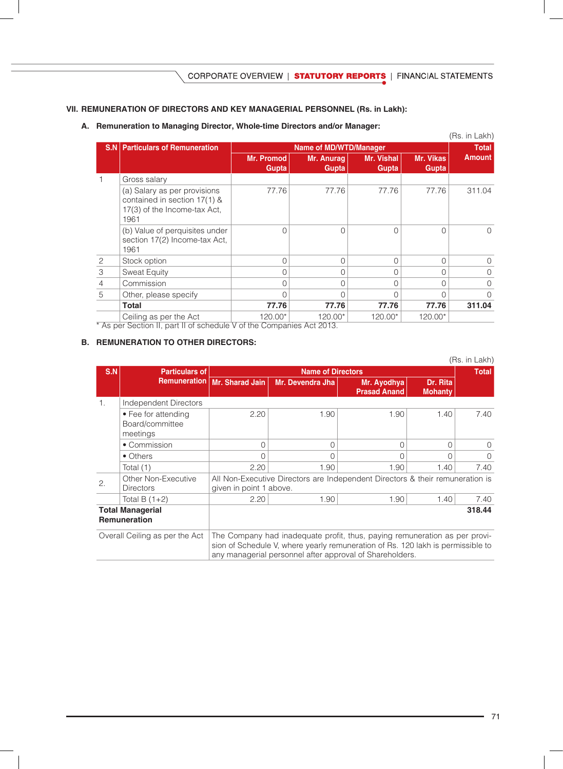# **VII. REMUNERATION OF DIRECTORS AND KEY MANAGERIAL PERSONNEL (Rs. in Lakh):**

**A. Remuneration to Managing Director, Whole-time Directors and/or Manager:** 

|                               |                                                                                                      |                            |                               |                            |                    | (Rs. in Lakh) |  |  |  |  |
|-------------------------------|------------------------------------------------------------------------------------------------------|----------------------------|-------------------------------|----------------------------|--------------------|---------------|--|--|--|--|
| S.N                           | <b>Particulars of Remuneration</b>                                                                   |                            | <b>Name of MD/WTD/Manager</b> |                            |                    |               |  |  |  |  |
|                               |                                                                                                      | <b>Mr. Promod</b><br>Gupta | Mr. Anurag<br>Gupta           | <b>Mr. Vishal</b><br>Gupta | Mr. Vikas<br>Gupta | <b>Amount</b> |  |  |  |  |
|                               | Gross salary                                                                                         |                            |                               |                            |                    |               |  |  |  |  |
|                               | (a) Salary as per provisions<br>contained in section 17(1) &<br>17(3) of the Income-tax Act,<br>1961 | 77.76                      | 77.76                         | 77.76                      | 77.76              | 311.04        |  |  |  |  |
|                               | (b) Value of perquisites under<br>section 17(2) Income-tax Act,<br>1961                              |                            | O                             | $\Omega$                   | U                  | $\Omega$      |  |  |  |  |
| 2                             | Stock option                                                                                         | U                          | 0                             | 0                          | $\Omega$           | $\Omega$      |  |  |  |  |
| 3                             | <b>Sweat Equity</b>                                                                                  |                            | $\Omega$                      | 0                          | O                  | $\Omega$      |  |  |  |  |
| $\overline{4}$                | Commission                                                                                           |                            | Ω                             | $\Omega$                   |                    | $\Omega$      |  |  |  |  |
| 5                             | Other, please specify                                                                                |                            | 0                             | 0                          |                    | $\Omega$      |  |  |  |  |
|                               | Total                                                                                                | 77.76                      | 77.76                         | 77.76                      | 77.76              | 311.04        |  |  |  |  |
| $\overline{r}$ $\overline{r}$ | Ceiling as per the Act                                                                               | 120.00*                    | 120.00*<br>$\sqrt{2}$         | 120.00*                    | 120.00*            |               |  |  |  |  |

\* As per Section II, part II of schedule V of the Companies Act 2013.

#### **B. REMUNERATION TO OTHER DIRECTORS:**

| (Rs. in Lakh)                                  |                                                    |                                                                                                                                                                                                                           |                  |                                    |                            |          |  |  |
|------------------------------------------------|----------------------------------------------------|---------------------------------------------------------------------------------------------------------------------------------------------------------------------------------------------------------------------------|------------------|------------------------------------|----------------------------|----------|--|--|
| S.N                                            | <b>Particulars of</b>                              | <b>Name of Directors</b>                                                                                                                                                                                                  |                  |                                    |                            |          |  |  |
|                                                |                                                    | Remuneration   Mr. Sharad Jain                                                                                                                                                                                            | Mr. Devendra Jha | Mr. Ayodhya<br><b>Prasad Anand</b> | Dr. Rita<br><b>Mohanty</b> |          |  |  |
| 1.                                             | Independent Directors                              |                                                                                                                                                                                                                           |                  |                                    |                            |          |  |  |
|                                                | • Fee for attending<br>Board/committee<br>meetings | 2.20                                                                                                                                                                                                                      | 1.90             | 1.90                               | 1.40                       | 7.40     |  |  |
|                                                | • Commission                                       | $\Omega$                                                                                                                                                                                                                  | $\Omega$         | $\Omega$                           | $\Omega$                   | $\Omega$ |  |  |
|                                                | • Others                                           | Ω                                                                                                                                                                                                                         | $\Omega$         | Ω                                  | O                          | $\Omega$ |  |  |
|                                                | Total (1)                                          | 2.20                                                                                                                                                                                                                      | 1.90             | 1.90                               | 1.40                       | 7.40     |  |  |
| 2.                                             | Other Non-Executive<br><b>Directors</b>            | All Non-Executive Directors are Independent Directors & their remuneration is<br>given in point 1 above.                                                                                                                  |                  |                                    |                            |          |  |  |
|                                                | Total B $(1+2)$                                    | 2.20                                                                                                                                                                                                                      | 1.90             | 1.90                               | 1.40                       | 7.40     |  |  |
| <b>Total Managerial</b><br><b>Remuneration</b> |                                                    | 318.44                                                                                                                                                                                                                    |                  |                                    |                            |          |  |  |
| Overall Ceiling as per the Act                 |                                                    | The Company had inadequate profit, thus, paying remuneration as per provi-<br>sion of Schedule V, where yearly remuneration of Rs. 120 lakh is permissible to<br>any managerial personnel after approval of Shareholders. |                  |                                    |                            |          |  |  |